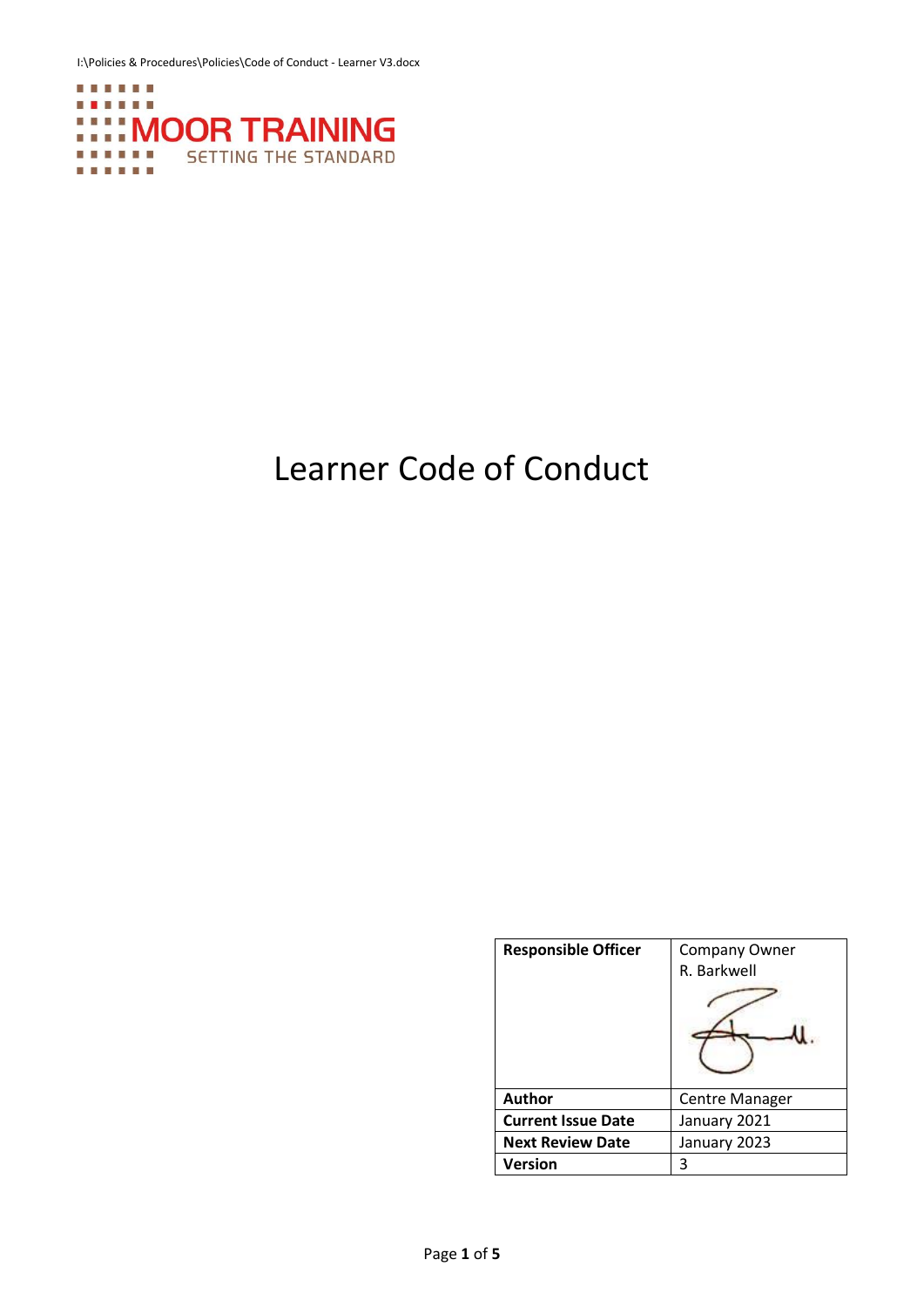I:\Policies & Procedures\Policies\Code of Conduct - Learner V3.docx



# Learner Code of Conduct

| <b>Responsible Officer</b> | <b>Company Owner</b><br>R. Barkwell |
|----------------------------|-------------------------------------|
| Author                     | <b>Centre Manager</b>               |
| <b>Current Issue Date</b>  | January 2021                        |
| <b>Next Review Date</b>    | January 2023                        |
| <b>Version</b>             | 3                                   |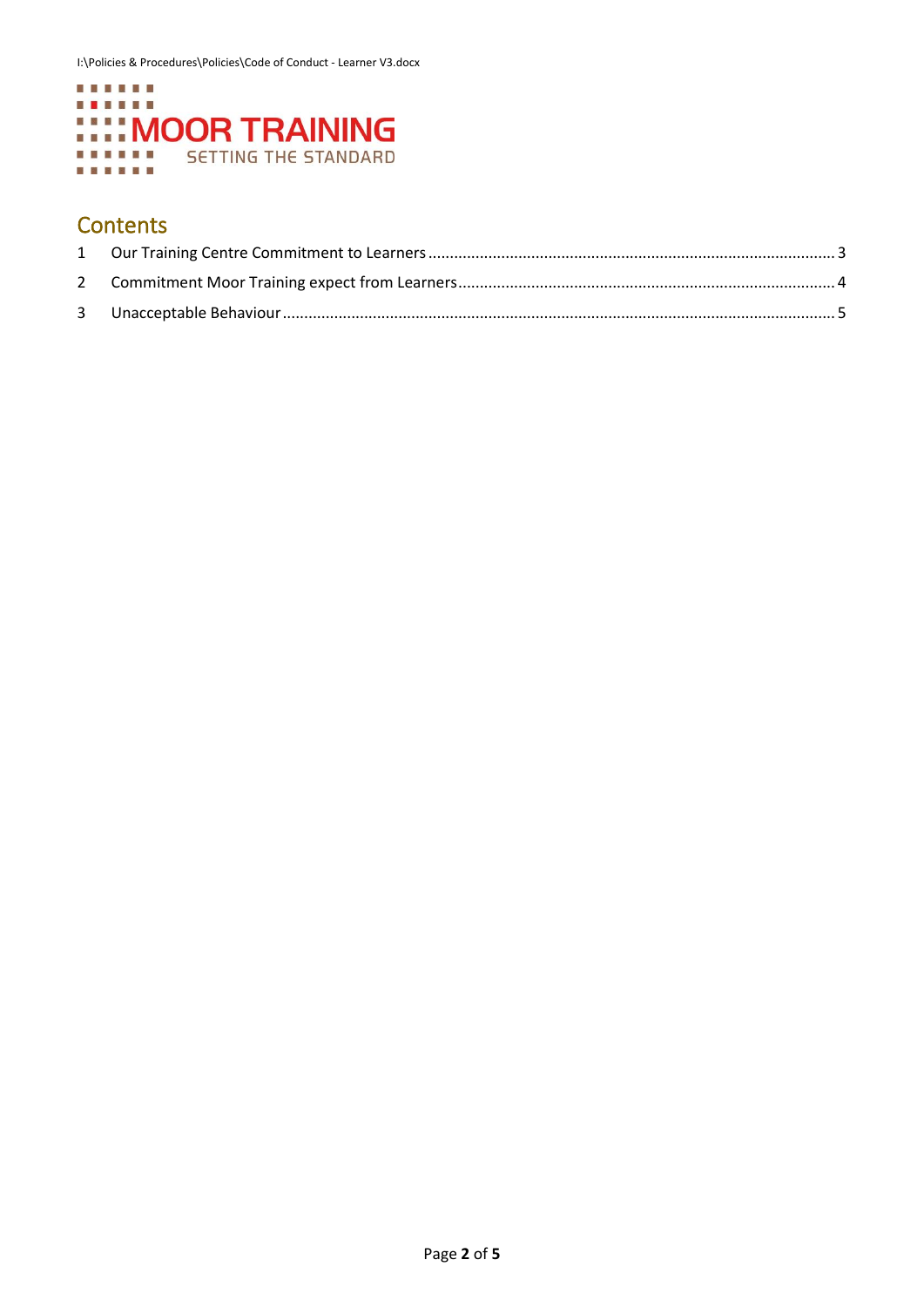

## **Contents**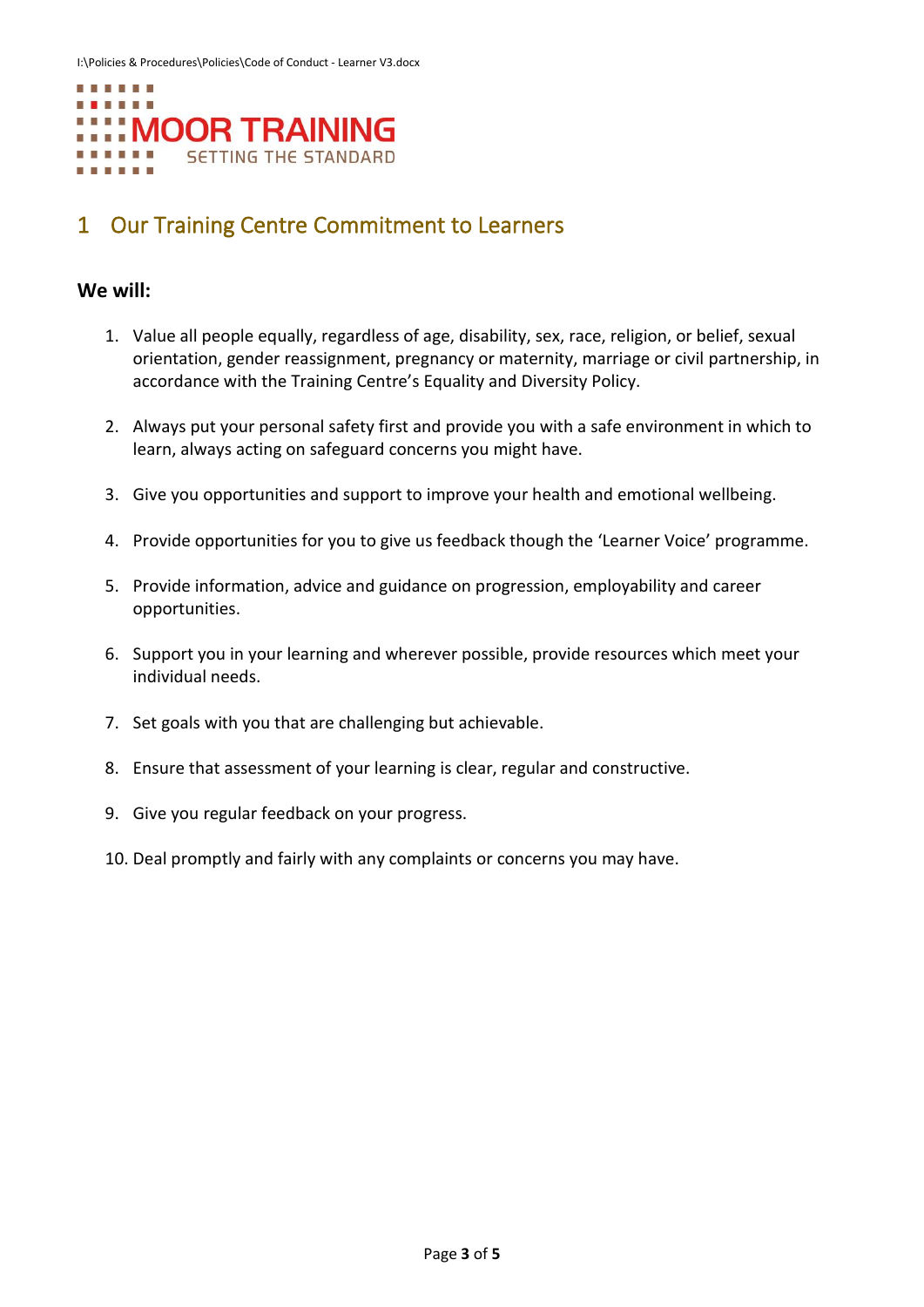

## <span id="page-2-0"></span>1 Our Training Centre Commitment to Learners

#### **We will:**

- 1. Value all people equally, regardless of age, disability, sex, race, religion, or belief, sexual orientation, gender reassignment, pregnancy or maternity, marriage or civil partnership, in accordance with the Training Centre's Equality and Diversity Policy.
- 2. Always put your personal safety first and provide you with a safe environment in which to learn, always acting on safeguard concerns you might have.
- 3. Give you opportunities and support to improve your health and emotional wellbeing.
- 4. Provide opportunities for you to give us feedback though the 'Learner Voice' programme.
- 5. Provide information, advice and guidance on progression, employability and career opportunities.
- 6. Support you in your learning and wherever possible, provide resources which meet your individual needs.
- 7. Set goals with you that are challenging but achievable.
- 8. Ensure that assessment of your learning is clear, regular and constructive.
- 9. Give you regular feedback on your progress.
- 10. Deal promptly and fairly with any complaints or concerns you may have.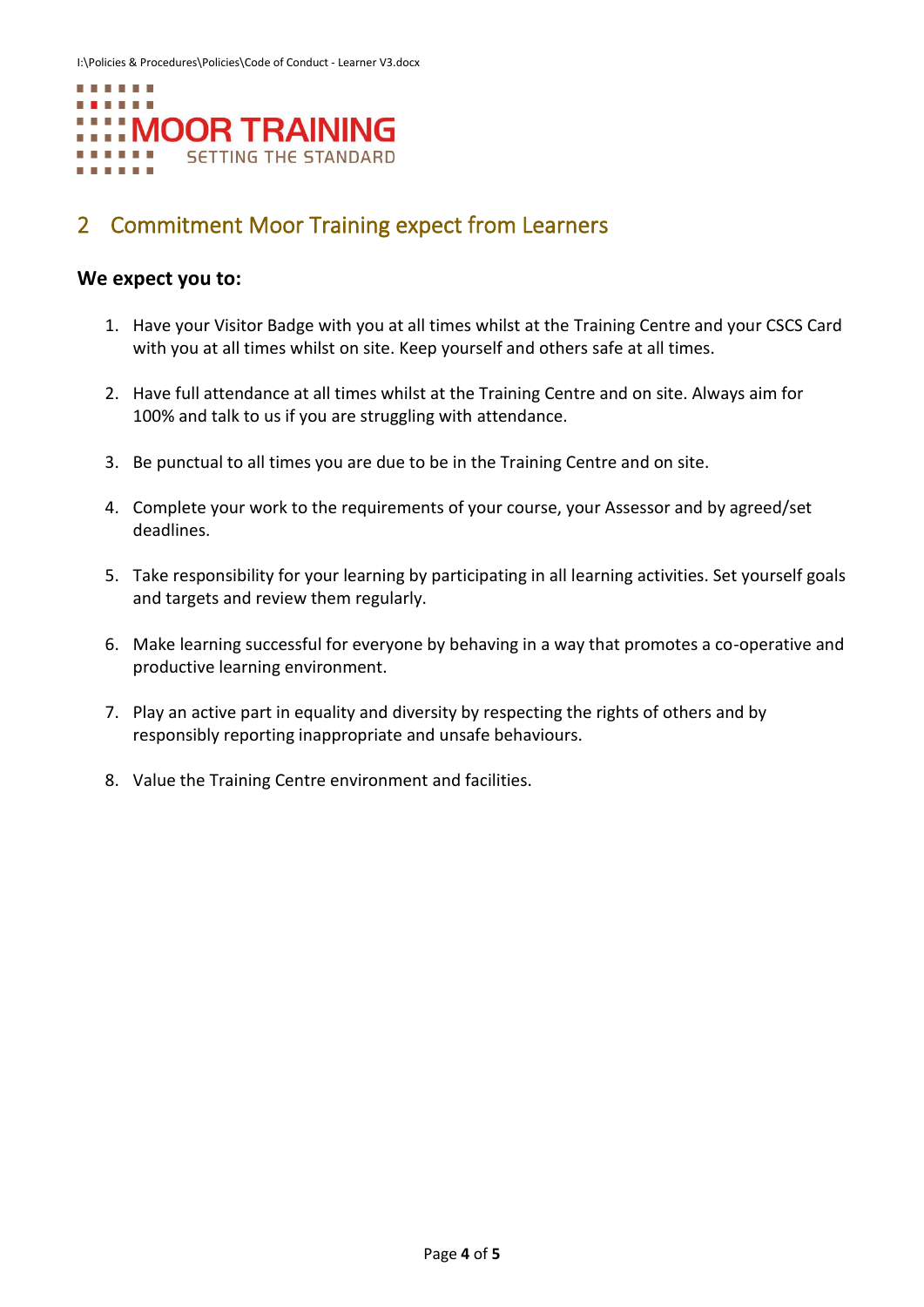

## <span id="page-3-0"></span>2 Commitment Moor Training expect from Learners

#### **We expect you to:**

- 1. Have your Visitor Badge with you at all times whilst at the Training Centre and your CSCS Card with you at all times whilst on site. Keep yourself and others safe at all times.
- 2. Have full attendance at all times whilst at the Training Centre and on site. Always aim for 100% and talk to us if you are struggling with attendance.
- 3. Be punctual to all times you are due to be in the Training Centre and on site.
- 4. Complete your work to the requirements of your course, your Assessor and by agreed/set deadlines.
- 5. Take responsibility for your learning by participating in all learning activities. Set yourself goals and targets and review them regularly.
- 6. Make learning successful for everyone by behaving in a way that promotes a co-operative and productive learning environment.
- 7. Play an active part in equality and diversity by respecting the rights of others and by responsibly reporting inappropriate and unsafe behaviours.
- 8. Value the Training Centre environment and facilities.